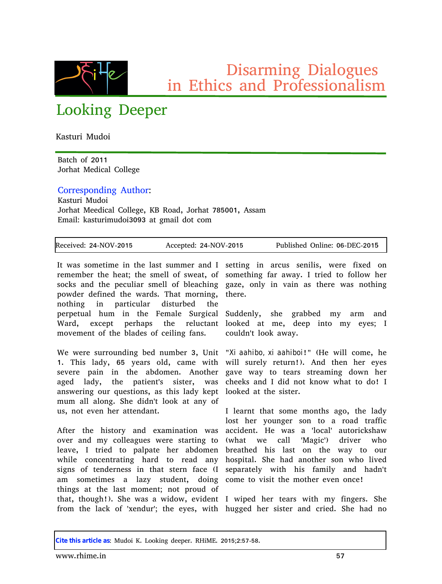

Disarming Dialogues in Ethics and Professionalism

## Looking Deeper

Kasturi Mudoi

Batch of 2011 Jorhat Medical College

Corresponding Author:

Kasturi Mudoi Jorhat Meedical College, KB Road, Jorhat 785001, Assam Email: kasturimudoi3093 at gmail dot com

| Received: 24-NOV-2015 | Accepted: 24-NOV-2015 | Published Online: 06-DEC-2015 |
|-----------------------|-----------------------|-------------------------------|

It was sometime in the last summer and I setting in arcus senilis, were fixed on remember the heat; the smell of sweat, of something far away. I tried to follow her socks and the peculiar smell of bleaching gaze, only in vain as there was nothing powder defined the wards. That morning, nothing in particular disturbed the perpetual hum in the Female Surgical Ward, except perhaps the reluctant movement of the blades of ceiling fans.

We were surrounding bed number 3, Unit "*Xi aahibo, xi aahiboi*!" (He will come, he 1. This lady, 65 years old, came with will surely return!). And then her eyes severe pain in the abdomen. Another gave way to tears streaming down her aged lady, the patient's sister, was answering our questions, as this lady kept looked at the sister. mum all along. She didn't look at any of us, not even her attendant.

After the history and examination was over and my colleagues were starting to leave, I tried to palpate her abdomen breathed his last on the way to our while concentrating hard to read any signs of tenderness in that stern face (I separately with his family and hadn't am sometimes a lazy student, doing come to visit the mother even once! things at the last moment; not proud of that, though!). She was a widow, evident I wiped her tears with my fingers. She from the lack of 'xendur'; the eyes, with hugged her sister and cried. She had no

there.

Suddenly, she grabbed my arm and looked at me, deep into my eyes; I couldn't look away.

cheeks and I did not know what to do! I

I learnt that some months ago, the lady lost her younger son to a road traffic accident. He was a 'local' autorickshaw (what we call 'Magic') driver who hospital. She had another son who lived

**Cite this article as**: Mudoi K. Looking deeper. RHiME. 2015;2:57-58.